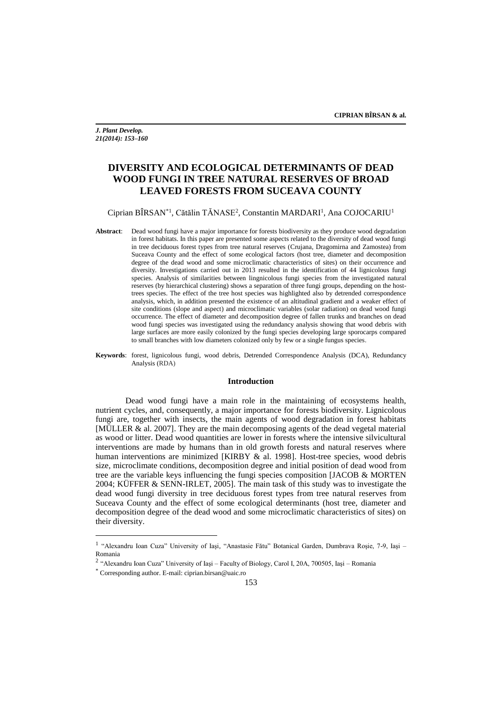*J. Plant Develop. 21(2014): 153–160*

# **DIVERSITY AND ECOLOGICAL DETERMINANTS OF DEAD WOOD FUNGI IN TREE NATURAL RESERVES OF BROAD LEAVED FORESTS FROM SUCEAVA COUNTY**

## Ciprian BÎRSAN<sup>\*1</sup>, Cătălin TĂNASE<sup>2</sup>, Constantin MARDARI<sup>1</sup>, Ana COJOCARIU<sup>1</sup>

- **Abstract**: Dead wood fungi have a major importance for forests biodiversity as they produce wood degradation in forest habitats. In this paper are presented some aspects related to the diversity of dead wood fungi in tree deciduous forest types from tree natural reserves (Crujana, Dragomirna and Zamostea) from Suceava County and the effect of some ecological factors (host tree, diameter and decomposition degree of the dead wood and some microclimatic characteristics of sites) on their occurrence and diversity. Investigations carried out in 2013 resulted in the identification of 44 lignicolous fungi species. Analysis of similarities between lingnicolous fungi species from the investigated natural reserves (by hierarchical clustering) shows a separation of three fungi groups, depending on the hosttrees species. The effect of the tree host species was highlighted also by detrended correspondence analysis, which, in addition presented the existence of an altitudinal gradient and a weaker effect of site conditions (slope and aspect) and microclimatic variables (solar radiation) on dead wood fungi occurrence. The effect of diameter and decomposition degree of fallen trunks and branches on dead wood fungi species was investigated using the redundancy analysis showing that wood debris with large surfaces are more easily colonized by the fungi species developing large sporocarps compared to small branches with low diameters colonized only by few or a single fungus species.
- **Keywords**: forest, lignicolous fungi, wood debris, Detrended Correspondence Analysis (DCA), Redundancy Analysis (RDA)

#### **Introduction**

Dead wood fungi have a main role in the maintaining of ecosystems health, nutrient cycles, and, consequently, a major importance for forests biodiversity. Lignicolous fungi are, together with insects, the main agents of wood degradation in forest habitats [MÜLLER & al. 2007]. They are the main decomposing agents of the dead vegetal material as wood or litter. Dead wood quantities are lower in forests where the intensive silvicultural interventions are made by humans than in old growth forests and natural reserves where human interventions are minimized [KIRBY & al. 1998]. Host-tree species, wood debris size, microclimate conditions, decomposition degree and initial position of dead wood from tree are the variable keys influencing the fungi species composition [JACOB & MORTEN 2004; KÜFFER & SENN-IRLET, 2005]. The main task of this study was to investigate the dead wood fungi diversity in tree deciduous forest types from tree natural reserves from Suceava County and the effect of some ecological determinants (host tree, diameter and decomposition degree of the dead wood and some microclimatic characteristics of sites) on their diversity.

 $\overline{a}$ 

<sup>&</sup>lt;sup>1</sup> "Alexandru Ioan Cuza" University of Iași, "Anastasie Fătu" Botanical Garden, Dumbrava Roșie, 7-9, Iași -Romania

<sup>&</sup>lt;sup>2</sup> "Alexandru Ioan Cuza" University of Iași – Faculty of Biology, Carol I, 20A, 700505, Iași – Romania

<sup>\*</sup> Corresponding author. E-mail: ciprian.birsan@uaic.ro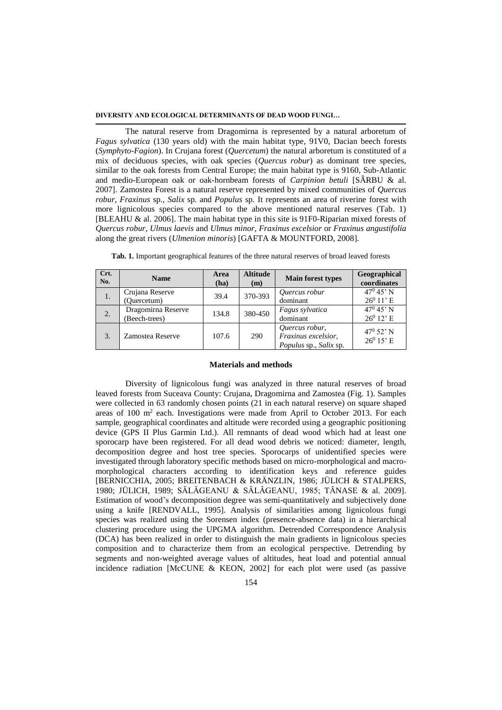### **DIVERSITY AND ECOLOGICAL DETERMINANTS OF DEAD WOOD FUNGI…**

The natural reserve from Dragomirna is represented by a natural arboretum of *Fagus sylvatica* (130 years old) with the main habitat type, 91V0, Dacian beech forests (*Symphyto-Fagion*). In Crujana forest (*Quercetum*) the natural arboretum is constituted of a mix of deciduous species, with oak species (*Quercus robur*) as dominant tree species, similar to the oak forests from Central Europe; the main habitat type is 9160, Sub-Atlantic and medio-European oak or oak-hornbeam forests of *Carpinion betuli* [SÂRBU & al. 2007]. Zamostea Forest is a natural reserve represented by mixed communities of *Quercus robur*, *Fraxinus* sp*.*, *Salix* sp*.* and *Populus* sp*.* It represents an area of riverine forest with more lignicolous species compared to the above mentioned natural reserves (Tab. 1) [BLEAHU & al. 2006]. The main habitat type in this site is 91F0-Riparian mixed forests of *Quercus robur*, *Ulmus laevis* and *Ulmus minor*, *Fraxinus excelsior* or *Fraxinus angustifolia*  along the great rivers (*Ulmenion minoris*) [GAFTA & MOUNTFORD, 2008].

| Crt.<br>No.    | <b>Name</b>                         | Area<br>(ha) | <b>Altitude</b><br>(m) | <b>Main forest types</b>                                        | Geographical<br>coordinates        |
|----------------|-------------------------------------|--------------|------------------------|-----------------------------------------------------------------|------------------------------------|
| $\mathbf{1}$ . | Crujana Reserve<br>(Ouercetum)      | 39.4         | 370-393                | Quercus robur<br>dominant                                       | $47^{\rm 0}$ 45' N<br>$26^0$ 11' E |
| 2.             | Dragomirna Reserve<br>(Beech-trees) | 134.8        | 380-450                | Fagus sylvatica<br>dominant                                     | $47^{\rm 0}$ 45' N<br>$26^0$ 12' E |
| 3.             | Zamostea Reserve                    | 107.6        | 290                    | Quercus robur,<br>Fraxinus excelsior,<br>Populus sp., Salix sp. | $47^{\rm 0}$ 52' N<br>$26^0$ 15' E |

**Tab. 1.** Important geographical features of the three natural reserves of broad leaved forests

#### **Materials and methods**

Diversity of lignicolous fungi was analyzed in three natural reserves of broad leaved forests from Suceava County: Crujana, Dragomirna and Zamostea (Fig. 1). Samples were collected in 63 randomly chosen points (21 in each natural reserve) on square shaped areas of  $100 \text{ m}^2$  each. Investigations were made from April to October 2013. For each sample, geographical coordinates and altitude were recorded using a geographic positioning device (GPS II Plus Garmin Ltd.). All remnants of dead wood which had at least one sporocarp have been registered. For all dead wood debris we noticed: diameter, length, decomposition degree and host tree species. Sporocarps of unidentified species were investigated through laboratory specific methods based on micro-morphological and macromorphological characters according to identification keys and reference guides [BERNICCHIA, 2005; BREITENBACH & KRÄNZLIN, 1986; JÜLICH & STALPERS, 1980; JÜLICH, 1989; SĂLĂGEANU & SĂLĂGEANU, 1985; TĂNASE & al. 2009]. Estimation of wood's decomposition degree was semi-quantitatively and subjectively done using a knife [RENDVALL, 1995]. Analysis of similarities among lignicolous fungi species was realized using the Sorensen index (presence-absence data) in a hierarchical clustering procedure using the UPGMA algorithm. Detrended Correspondence Analysis (DCA) has been realized in order to distinguish the main gradients in lignicolous species composition and to characterize them from an ecological perspective. Detrending by segments and non-weighted average values of altitudes, heat load and potential annual incidence radiation [McCUNE & KEON, 2002] for each plot were used (as passive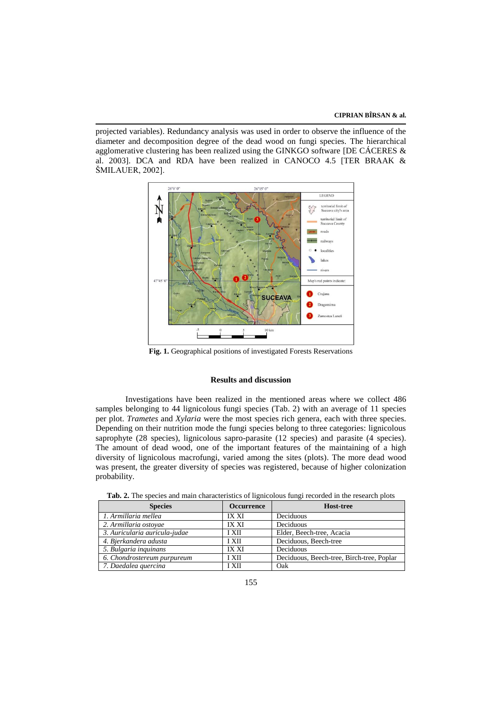projected variables). Redundancy analysis was used in order to observe the influence of the diameter and decomposition degree of the dead wood on fungi species. The hierarchical agglomerative clustering has been realized using the GINKGO software [DE CÁCERES & al. 2003]. DCA and RDA have been realized in CANOCO 4.5 [TER BRAAK & ŠMILAUER, 2002].



**Fig. 1.** Geographical positions of investigated Forests Reservations

## **Results and discussion**

Investigations have been realized in the mentioned areas where we collect 486 samples belonging to 44 lignicolous fungi species (Tab. 2) with an average of 11 species per plot. *Trametes* and *Xylaria* were the most species rich genera, each with three species. Depending on their nutrition mode the fungi species belong to three categories: lignicolous saprophyte (28 species), lignicolous sapro-parasite (12 species) and parasite (4 species). The amount of dead wood, one of the important features of the maintaining of a high diversity of lignicolous macrofungi, varied among the sites (plots). The more dead wood was present, the greater diversity of species was registered, because of higher colonization probability.

| <b>Species</b>                | <b>Occurrence</b> | <b>Host-tree</b>                          |
|-------------------------------|-------------------|-------------------------------------------|
| 1. Armillaria mellea          | <b>IX XI</b>      | Deciduous                                 |
| 2. Armillaria ostoyae         | <b>IX XI</b>      | Deciduous                                 |
| 3. Auricularia auricula-judae | <b>I XII</b>      | Elder, Beech-tree, Acacia                 |
| 4. Bjerkandera adusta         | <b>I XII</b>      | Deciduous, Beech-tree                     |
| 5. Bulgaria inquinans         | <b>IX XI</b>      | Deciduous                                 |
| 6. Chondrostereum purpureum   | <b>I XII</b>      | Deciduous, Beech-tree, Birch-tree, Poplar |
| 7. Daedalea quercina          | <b>I XII</b>      | Oak                                       |

**Tab. 2.** The species and main characteristics of lignicolous fungi recorded in the research plots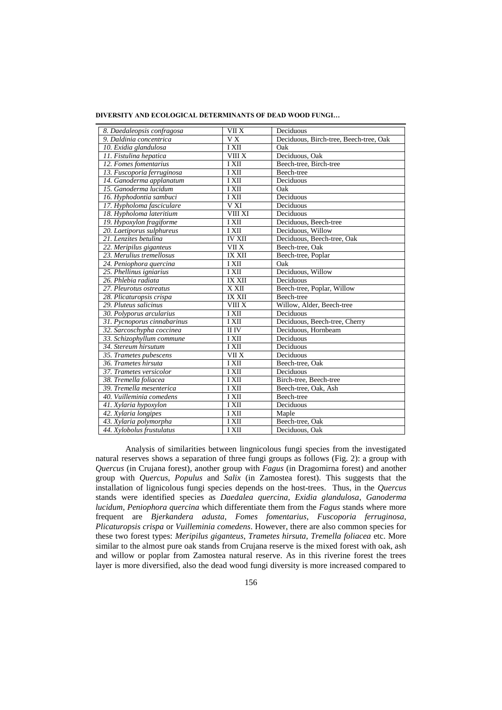| 8. Daedaleopsis confragosa  | VII X                      | Deciduous                              |
|-----------------------------|----------------------------|----------------------------------------|
| 9. Daldinia concentrica     | $\overline{V}X$            | Deciduous, Birch-tree, Beech-tree, Oak |
| 10. Exidia glandulosa       | I XII                      | Oak                                    |
| 11. Fistulina hepatica      | $\overline{\text{VIII X}}$ | Deciduous, Oak                         |
| 12. Fomes fomentarius       | I XII                      | Beech-tree, Birch-tree                 |
| 13. Fuscoporia ferruginosa  | I XII                      | Beech-tree                             |
| 14. Ganoderma applanatum    | I XII                      | Deciduous                              |
| 15. Ganoderma lucidum       | I XII                      | Oak                                    |
| 16. Hyphodontia sambuci     | <b>IXII</b>                | Deciduous                              |
| 17. Hypholoma fasciculare   | V XI                       | Deciduous                              |
| 18. Hypholoma lateritium    | VIII XI                    | Deciduous                              |
| 19. Hypoxylon fragiforme    | I XII                      | Deciduous, Beech-tree                  |
| 20. Laetiporus sulphureus   | <b>IXII</b>                | Deciduous, Willow                      |
| 21. Lenzites betulina       | <b>IV XII</b>              | Deciduous, Beech-tree, Oak             |
| 22. Meripilus giganteus     | $\overline{\text{VII X}}$  | Beech-tree, Oak                        |
| 23. Merulius tremellosus    | <b>IX XII</b>              | Beech-tree, Poplar                     |
| 24. Peniophora quercina     | I XII                      | Oak                                    |
| 25. Phellinus igniarius     | <b>IXII</b>                | Deciduous, Willow                      |
| 26. Phlebia radiata         | <b>IX XII</b>              | Deciduous                              |
| 27. Pleurotus ostreatus     | $\overline{X}$ XII         | Beech-tree, Poplar, Willow             |
| 28. Plicaturopsis crispa    | IX XII                     | Beech-tree                             |
| 29. Pluteus salicinus       | VIII X                     | Willow, Alder, Beech-tree              |
| 30. Polyporus arcularius    | <b>IXII</b>                | Deciduous                              |
| 31. Pycnoporus cinnabarinus | I XII                      | Deciduous, Beech-tree, Cherry          |
| 32. Sarcoschypha coccinea   | $\overline{II}$ IV         | Deciduous, Hornbeam                    |
| 33. Schizophyllum commune   | I XII                      | Deciduous                              |
| 34. Stereum hirsutum        | I XII                      | Deciduous                              |
| 35. Trametes pubescens      | VII X                      | Deciduous                              |
| 36. Trametes hirsuta        | I XII                      | Beech-tree, Oak                        |
| 37. Trametes versicolor     | I XII                      | Deciduous                              |
| 38. Tremella foliacea       | I XII                      | Birch-tree, Beech-tree                 |
| 39. Tremella mesenterica    | I XII                      | Beech-tree, Oak, Ash                   |
| 40. Vuilleminia comedens    | I XII                      | Beech-tree                             |
| 41. Xylaria hypoxylon       | I XII                      | Deciduous                              |
| 42. Xylaria longipes        | <b>IXII</b>                | Maple                                  |
| 43. Xylaria polymorpha      | I XII                      | Beech-tree, Oak                        |
| 44. Xylobolus frustulatus   | I XII                      | Deciduous, Oak                         |

**DIVERSITY AND ECOLOGICAL DETERMINANTS OF DEAD WOOD FUNGI…**

Analysis of similarities between lingnicolous fungi species from the investigated natural reserves shows a separation of three fungi groups as follows (Fig. 2): a group with *Quercus* (in Crujana forest), another group with *Fagus* (in Dragomirna forest) and another group with *Quercus*, *Populus* and *Salix* (in Zamostea forest). This suggests that the installation of lignicolous fungi species depends on the host-trees. Thus, in the *Quercus* stands were identified species as *Daedalea quercina*, *Exidia glandulosa*, *Ganoderma lucidum*, *Peniophora quercina* which differentiate them from the *Fagus* stands where more frequent are *Bjerkandera adusta*, *Fomes fomentarius*, *Fuscoporia ferruginosa*, *Plicaturopsis crispa* or *Vuilleminia comedens*. However, there are also common species for these two forest types: *Meripilus giganteus*, *Trametes hirsuta*, *Tremella foliacea* etc. More similar to the almost pure oak stands from Crujana reserve is the mixed forest with oak, ash and willow or poplar from Zamostea natural reserve. As in this riverine forest the trees layer is more diversified, also the dead wood fungi diversity is more increased compared to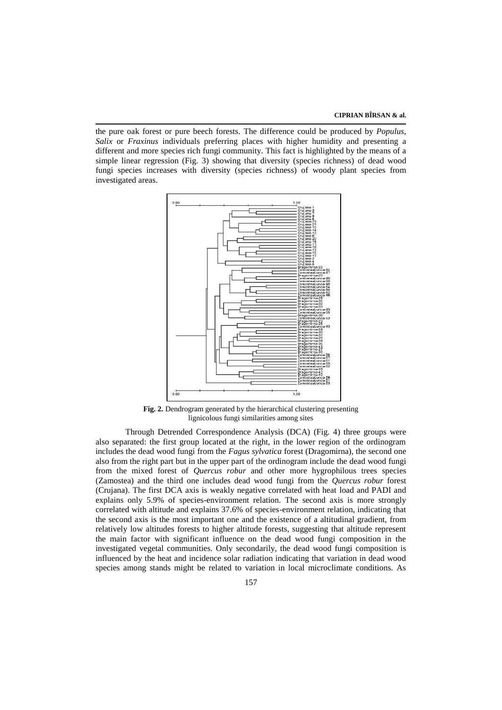the pure oak forest or pure beech forests. The difference could be produced by *Populus*, *Salix* or *Fraxinus* individuals preferring places with higher humidity and presenting a different and more species rich fungi community. This fact is highlighted by the means of a simple linear regression (Fig. 3) showing that diversity (species richness) of dead wood fungi species increases with diversity (species richness) of woody plant species from investigated areas.



**Fig. 2.** Dendrogram generated by the hierarchical clustering presenting lignicolous fungi similarities among sites

Through Detrended Correspondence Analysis (DCA) (Fig. 4) three groups were also separated: the first group located at the right, in the lower region of the ordinogram includes the dead wood fungi from the *Fagus sylvatica* forest (Dragomirna), the second one also from the right part but in the upper part of the ordinogram include the dead wood fungi from the mixed forest of *Quercus robur* and other more hygrophilous trees species (Zamostea) and the third one includes dead wood fungi from the *Quercus robur* forest (Crujana). The first DCA axis is weakly negative correlated with heat load and PADI and explains only 5.9% of species-environment relation. The second axis is more strongly correlated with altitude and explains 37.6% of species-environment relation, indicating that the second axis is the most important one and the existence of a altitudinal gradient, from relatively low altitudes forests to higher altitude forests, suggesting that altitude represent the main factor with significant influence on the dead wood fungi composition in the investigated vegetal communities. Only secondarily, the dead wood fungi composition is influenced by the heat and incidence solar radiation indicating that variation in dead wood species among stands might be related to variation in local microclimate conditions. As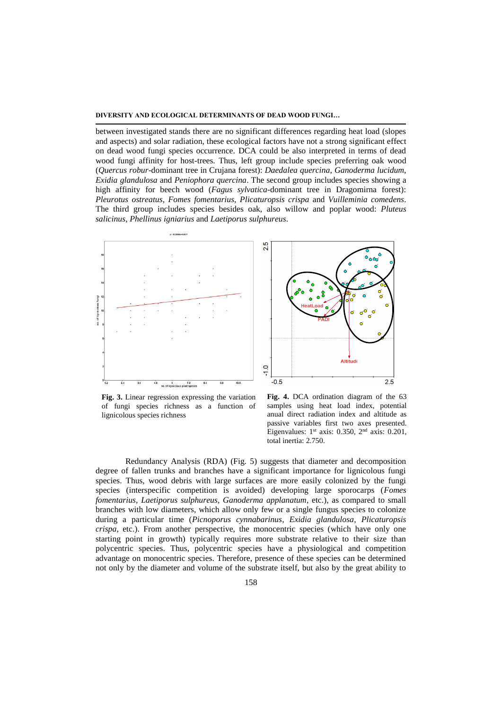#### **DIVERSITY AND ECOLOGICAL DETERMINANTS OF DEAD WOOD FUNGI…**

between investigated stands there are no significant differences regarding heat load (slopes and aspects) and solar radiation, these ecological factors have not a strong significant effect on dead wood fungi species occurrence. DCA could be also interpreted in terms of dead wood fungi affinity for host-trees. Thus, left group include species preferring oak wood (*Quercus robur*-dominant tree in Crujana forest): *Daedalea quercina*, *Ganoderma lucidum*, *Exidia glandulosa* and *Peniophora quercina*. The second group includes species showing a high affinity for beech wood (*Fagus sylvatica-*dominant tree in Dragomirna forest): *Pleurotus ostreatus*, *Fomes fomentarius*, *Plicaturopsis crispa* and *Vuilleminia comedens*. The third group includes species besides oak, also willow and poplar wood: *Pluteus salicinus*, *Phellinus igniarius* and *Laetiporus sulphureus*.



**Fig. 3.** Linear regression expressing the variation of fungi species richness as a function of lignicolous species richness



**Fig. 4.** DCA ordination diagram of the 63 samples using heat load index, potential anual direct radiation index and altitude as passive variables first two axes presented. Eigenvalues:  $1<sup>st</sup>$  axis: 0.350,  $2<sup>nd</sup>$  axis: 0.201, total inertia: 2.750.

Redundancy Analysis (RDA) (Fig. 5) suggests that diameter and decomposition degree of fallen trunks and branches have a significant importance for lignicolous fungi species. Thus, wood debris with large surfaces are more easily colonized by the fungi species (interspecific competition is avoided) developing large sporocarps (*Fomes fomentarius*, *Laetiporus sulphureus*, *Ganoderma applanatum*, etc.), as compared to small branches with low diameters, which allow only few or a single fungus species to colonize during a particular time (*Picnoporus cynnabarinus*, *Exidia glandulosa*, *Plicaturopsis crispa*, etc.). From another perspective, the monocentric species (which have only one starting point in growth) typically requires more substrate relative to their size than polycentric species. Thus, polycentric species have a physiological and competition advantage on monocentric species. Therefore, presence of these species can be determined not only by the diameter and volume of the substrate itself, but also by the great ability to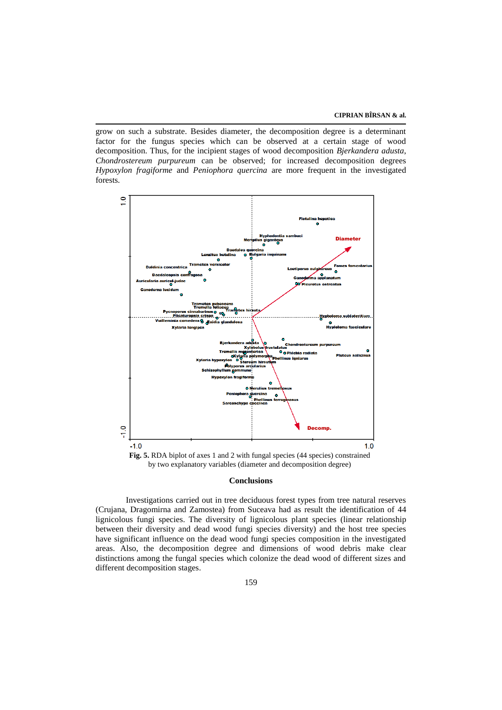grow on such a substrate. Besides diameter, the decomposition degree is a determinant factor for the fungus species which can be observed at a certain stage of wood decomposition. Thus, for the incipient stages of wood decomposition *Bjerkandera adusta*, *Chondrostereum purpureum* can be observed; for increased decomposition degrees *Hypoxylon fragiforme* and *Peniophora quercina* are more frequent in the investigated forests.



#### **Conclusions**

Investigations carried out in tree deciduous forest types from tree natural reserves (Crujana, Dragomirna and Zamostea) from Suceava had as result the identification of 44 lignicolous fungi species. The diversity of lignicolous plant species (linear relationship between their diversity and dead wood fungi species diversity) and the host tree species have significant influence on the dead wood fungi species composition in the investigated areas. Also, the decomposition degree and dimensions of wood debris make clear distinctions among the fungal species which colonize the dead wood of different sizes and different decomposition stages.